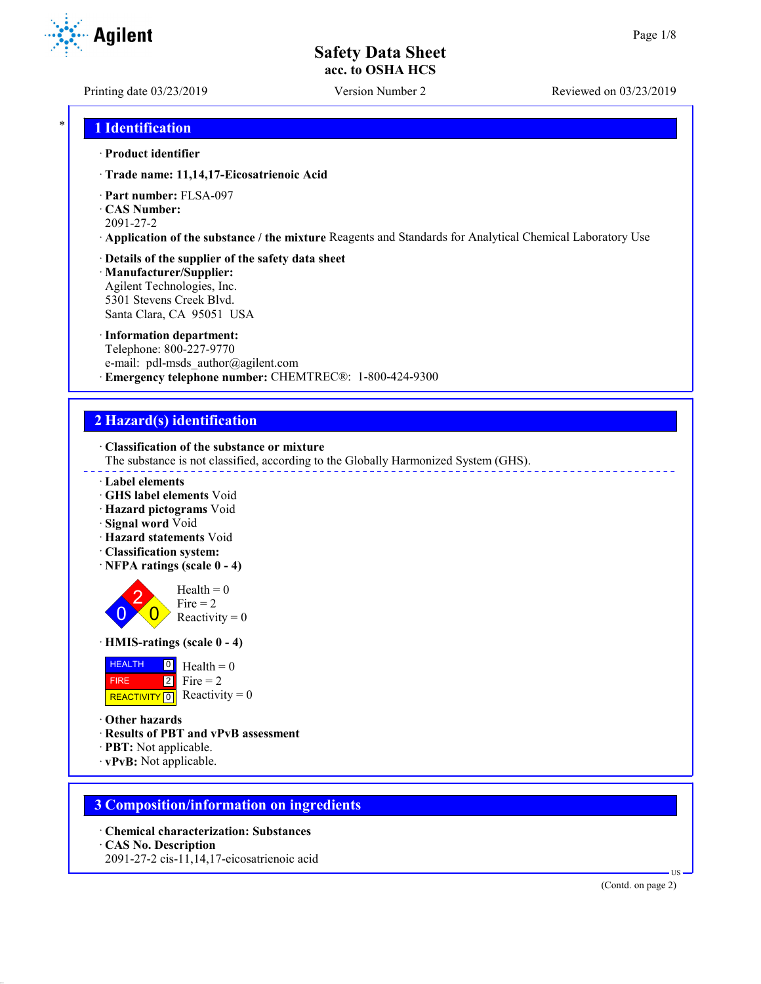**Agilent** 

Printing date 03/23/2019 Version Number 2 Reviewed on 03/23/2019

## \* **1 Identification**

### · **Product identifier**

- · **Trade name: 11,14,17-Eicosatrienoic Acid**
- · **Part number:** FLSA-097
- · **CAS Number:**
- 2091-27-2
- · **Application of the substance / the mixture** Reagents and Standards for Analytical Chemical Laboratory Use
- · **Details of the supplier of the safety data sheet**
- · **Manufacturer/Supplier:** Agilent Technologies, Inc. 5301 Stevens Creek Blvd. Santa Clara, CA 95051 USA
- · **Information department:** Telephone: 800-227-9770 e-mail: pdl-msds author@agilent.com · **Emergency telephone number:** CHEMTREC®: 1-800-424-9300

# **2 Hazard(s) identification**

· **Classification of the substance or mixture**

The substance is not classified, according to the Globally Harmonized System (GHS).

- · **Label elements**
- · **GHS label elements** Void
- · **Hazard pictograms** Void
- · **Signal word** Void
- · **Hazard statements** Void
- · **Classification system:**
- · **NFPA ratings (scale 0 4)**



 $Health = 0$ Fire  $= 2$ Reactivity  $= 0$ 

· **HMIS-ratings (scale 0 - 4)**



· **Other hazards**

- · **Results of PBT and vPvB assessment**
- · **PBT:** Not applicable.
- · **vPvB:** Not applicable.

## **3 Composition/information on ingredients**

- · **Chemical characterization: Substances**
- · **CAS No. Description**
- 2091-27-2 cis-11,14,17-eicosatrienoic acid

(Contd. on page 2)

US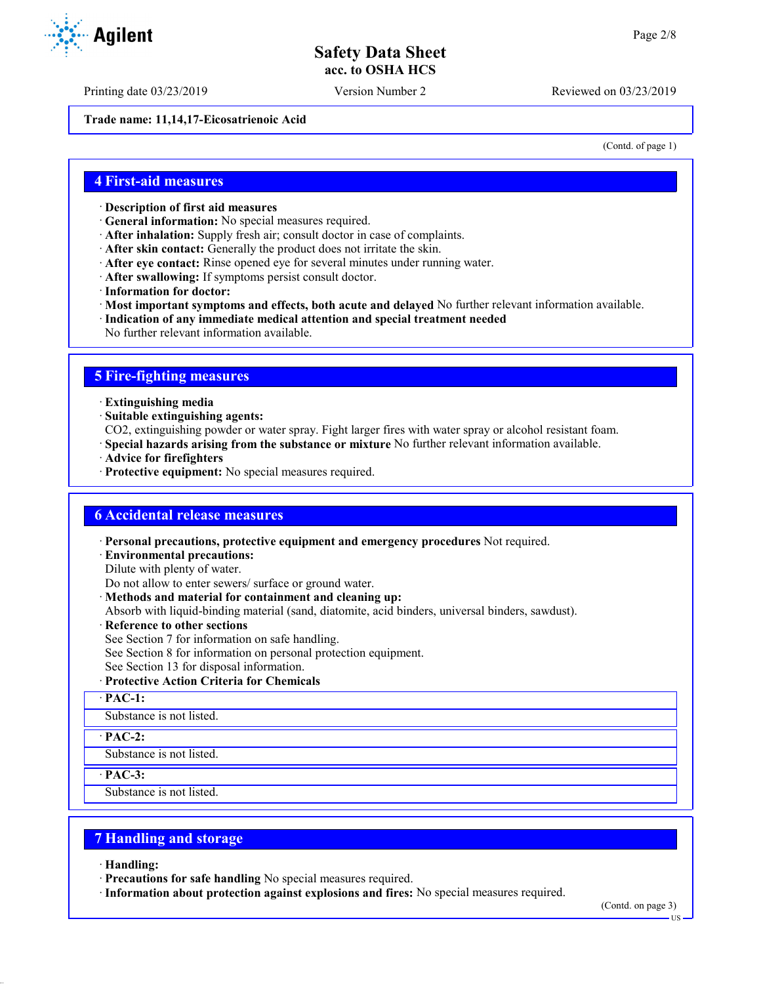Printing date 03/23/2019 Version Number 2 Reviewed on 03/23/2019

**Trade name: 11,14,17-Eicosatrienoic Acid**

(Contd. of page 1)

## **4 First-aid measures**

- · **Description of first aid measures**
- · **General information:** No special measures required.
- · **After inhalation:** Supply fresh air; consult doctor in case of complaints.
- · **After skin contact:** Generally the product does not irritate the skin.
- · **After eye contact:** Rinse opened eye for several minutes under running water.
- · **After swallowing:** If symptoms persist consult doctor.
- · **Information for doctor:**
- · **Most important symptoms and effects, both acute and delayed** No further relevant information available.
- · **Indication of any immediate medical attention and special treatment needed**
- No further relevant information available.

## **5 Fire-fighting measures**

- · **Extinguishing media**
- · **Suitable extinguishing agents:**
- CO2, extinguishing powder or water spray. Fight larger fires with water spray or alcohol resistant foam.
- · **Special hazards arising from the substance or mixture** No further relevant information available.
- · **Advice for firefighters**
- · **Protective equipment:** No special measures required.

## **6 Accidental release measures**

· **Personal precautions, protective equipment and emergency procedures** Not required.

· **Environmental precautions:**

Dilute with plenty of water.

Do not allow to enter sewers/ surface or ground water.

- · **Methods and material for containment and cleaning up:**
- Absorb with liquid-binding material (sand, diatomite, acid binders, universal binders, sawdust).
- · **Reference to other sections**
- See Section 7 for information on safe handling.
- See Section 8 for information on personal protection equipment.
- See Section 13 for disposal information.
- · **Protective Action Criteria for Chemicals**

· **PAC-1:**

Substance is not listed.

· **PAC-2:**

Substance is not listed.

· **PAC-3:**

Substance is not listed.

## **7 Handling and storage**

· **Handling:**

- · **Precautions for safe handling** No special measures required.
- · **Information about protection against explosions and fires:** No special measures required.

(Contd. on page 3)

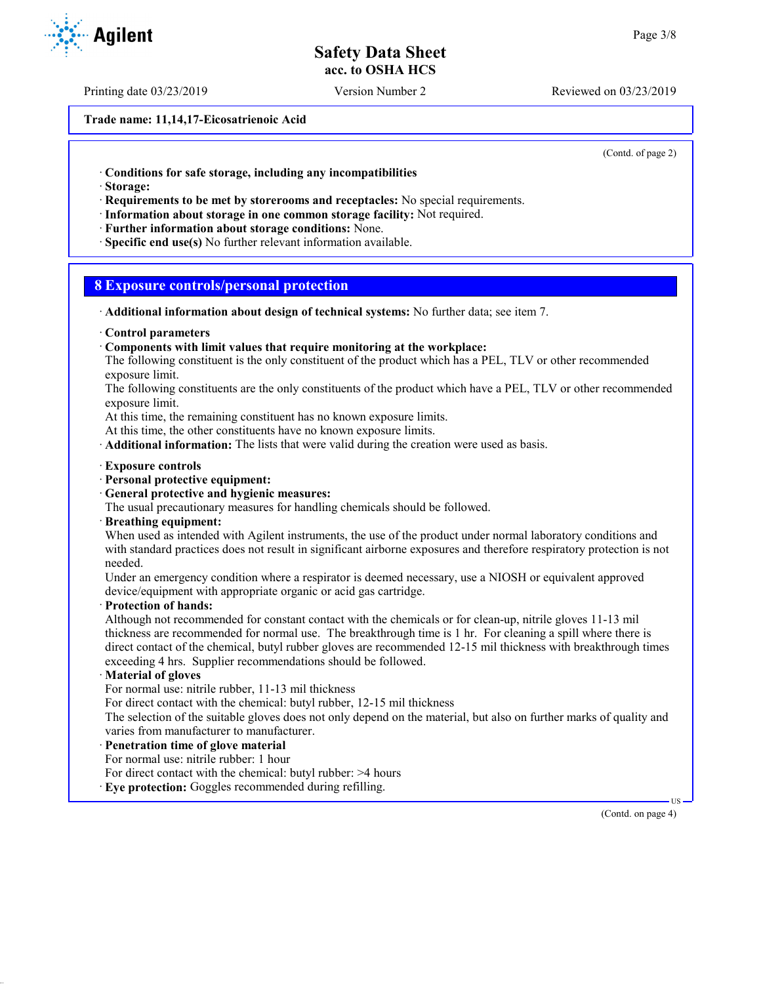Printing date 03/23/2019 Version Number 2 Reviewed on 03/23/2019

**Trade name: 11,14,17-Eicosatrienoic Acid**

(Contd. of page 2)

· **Conditions for safe storage, including any incompatibilities**

· **Storage:**

· **Requirements to be met by storerooms and receptacles:** No special requirements.

- · **Information about storage in one common storage facility:** Not required.
- · **Further information about storage conditions:** None.
- · **Specific end use(s)** No further relevant information available.

## **8 Exposure controls/personal protection**

- · **Additional information about design of technical systems:** No further data; see item 7.
- · **Control parameters**
- · **Components with limit values that require monitoring at the workplace:**
- The following constituent is the only constituent of the product which has a PEL, TLV or other recommended exposure limit.
- The following constituents are the only constituents of the product which have a PEL, TLV or other recommended exposure limit.

At this time, the remaining constituent has no known exposure limits.

At this time, the other constituents have no known exposure limits.

· **Additional information:** The lists that were valid during the creation were used as basis.

- · **Exposure controls**
- · **Personal protective equipment:**
- · **General protective and hygienic measures:**

The usual precautionary measures for handling chemicals should be followed.

· **Breathing equipment:**

When used as intended with Agilent instruments, the use of the product under normal laboratory conditions and with standard practices does not result in significant airborne exposures and therefore respiratory protection is not needed.

Under an emergency condition where a respirator is deemed necessary, use a NIOSH or equivalent approved device/equipment with appropriate organic or acid gas cartridge.

· **Protection of hands:**

Although not recommended for constant contact with the chemicals or for clean-up, nitrile gloves 11-13 mil thickness are recommended for normal use. The breakthrough time is 1 hr. For cleaning a spill where there is direct contact of the chemical, butyl rubber gloves are recommended 12-15 mil thickness with breakthrough times exceeding 4 hrs. Supplier recommendations should be followed.

· **Material of gloves**

For normal use: nitrile rubber, 11-13 mil thickness

For direct contact with the chemical: butyl rubber, 12-15 mil thickness

The selection of the suitable gloves does not only depend on the material, but also on further marks of quality and varies from manufacturer to manufacturer.

· **Penetration time of glove material**

For normal use: nitrile rubber: 1 hour

For direct contact with the chemical: butyl rubber: >4 hours

· **Eye protection:** Goggles recommended during refilling.



US

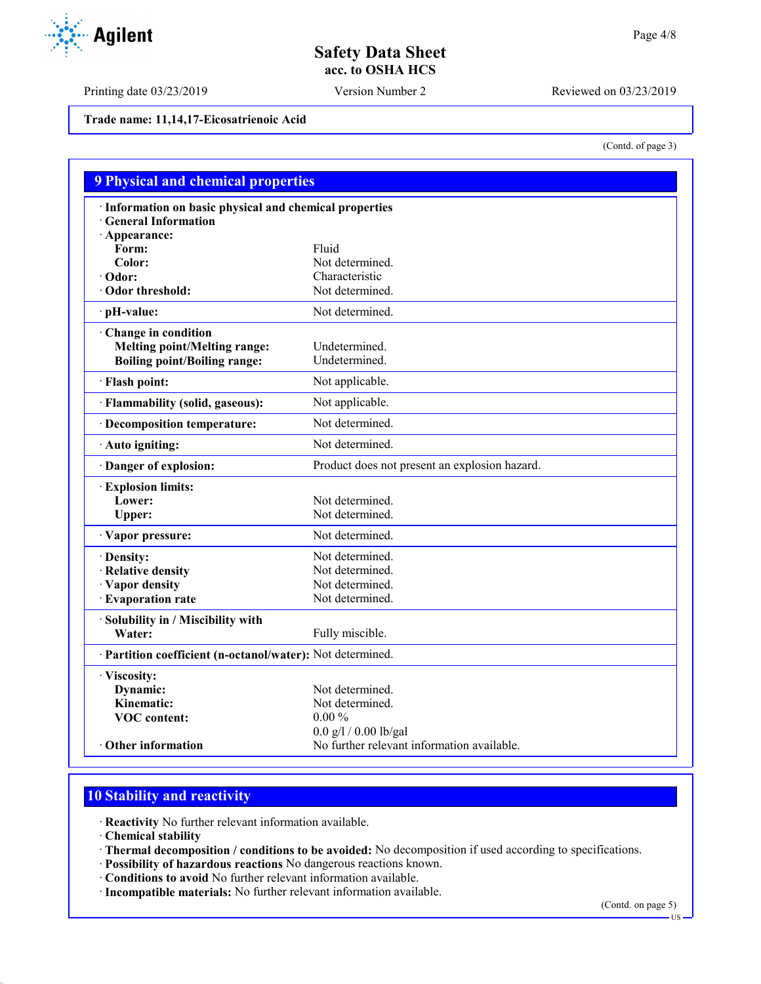Printing date 03/23/2019 Version Number 2 Reviewed on 03/23/2019

**Trade name: 11,14,17-Eicosatrienoic Acid**

(Contd. of page 3)

| <b>9 Physical and chemical properties</b>                  |                                               |
|------------------------------------------------------------|-----------------------------------------------|
| · Information on basic physical and chemical properties    |                                               |
| <b>General Information</b>                                 |                                               |
| $\cdot$ Appearance:                                        |                                               |
| Form:                                                      | Fluid                                         |
| Color:                                                     | Not determined.                               |
| $\cdot$ Odor:                                              | Characteristic                                |
| Odor threshold:                                            | Not determined.                               |
| · pH-value:                                                | Not determined.                               |
| Change in condition                                        |                                               |
| <b>Melting point/Melting range:</b>                        | Undetermined.                                 |
| <b>Boiling point/Boiling range:</b>                        | Undetermined.                                 |
| · Flash point:                                             | Not applicable.                               |
| · Flammability (solid, gaseous):                           | Not applicable.                               |
| · Decomposition temperature:                               | Not determined.                               |
| Auto igniting:                                             | Not determined.                               |
| Danger of explosion:                                       | Product does not present an explosion hazard. |
| · Explosion limits:                                        |                                               |
| Lower:                                                     | Not determined.                               |
| Upper:                                                     | Not determined.                               |
| · Vapor pressure:                                          | Not determined.                               |
| · Density:                                                 | Not determined.                               |
| · Relative density                                         | Not determined.                               |
| · Vapor density                                            | Not determined.                               |
| · Evaporation rate                                         | Not determined.                               |
| · Solubility in / Miscibility with                         |                                               |
| Water:                                                     | Fully miscible.                               |
| · Partition coefficient (n-octanol/water): Not determined. |                                               |
| · Viscosity:                                               |                                               |
| Dynamic:                                                   | Not determined.                               |
| Kinematic:                                                 | Not determined.                               |
| <b>VOC</b> content:                                        | $0.00\%$                                      |
|                                                            | $0.0$ g/l / $0.00$ lb/gal                     |
| Other information                                          | No further relevant information available.    |

# **10 Stability and reactivity**

· **Reactivity** No further relevant information available.

· **Chemical stability**

- · **Thermal decomposition / conditions to be avoided:** No decomposition if used according to specifications.
- · **Possibility of hazardous reactions** No dangerous reactions known.
- · **Conditions to avoid** No further relevant information available.
- · **Incompatible materials:** No further relevant information available.

(Contd. on page 5)



US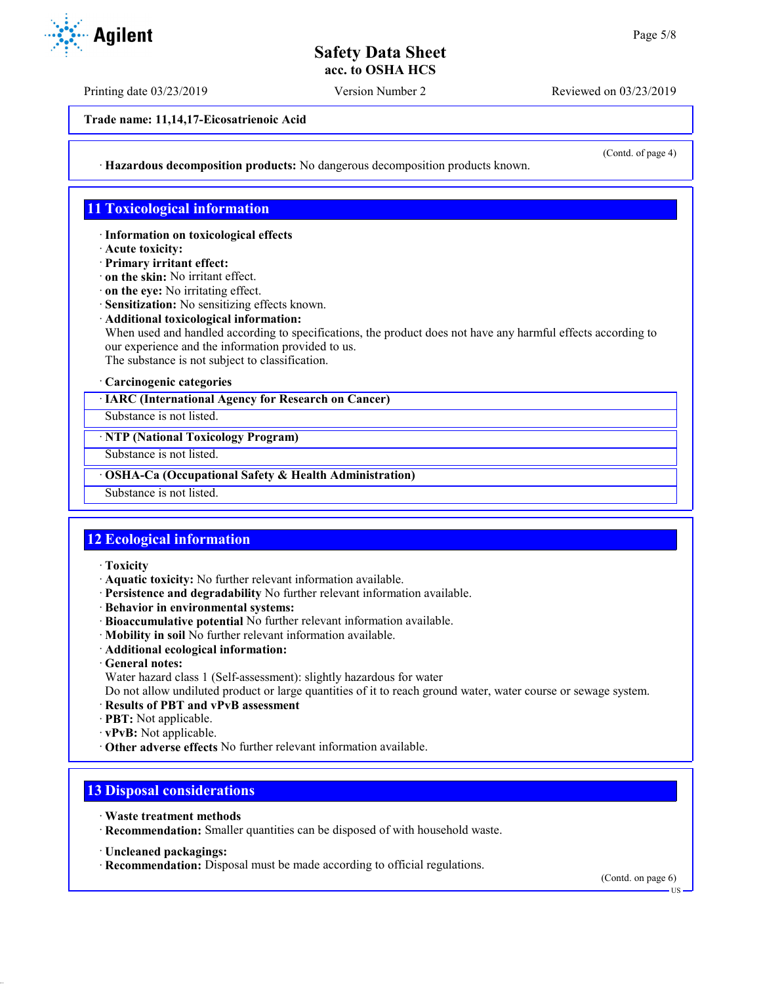Printing date 03/23/2019 Version Number 2 Reviewed on 03/23/2019

**Trade name: 11,14,17-Eicosatrienoic Acid**

(Contd. of page 4)

· **Hazardous decomposition products:** No dangerous decomposition products known.

## **11 Toxicological information**

· **Information on toxicological effects**

· **Acute toxicity:**

· **Primary irritant effect:**

· **on the skin:** No irritant effect.

· **on the eye:** No irritating effect.

· **Sensitization:** No sensitizing effects known.

· **Additional toxicological information:**

When used and handled according to specifications, the product does not have any harmful effects according to our experience and the information provided to us.

The substance is not subject to classification.

### · **Carcinogenic categories**

· **IARC (International Agency for Research on Cancer)**

Substance is not listed.

· **NTP (National Toxicology Program)**

Substance is not listed.

· **OSHA-Ca (Occupational Safety & Health Administration)**

Substance is not listed.

## **12 Ecological information**

· **Toxicity**

· **Aquatic toxicity:** No further relevant information available.

- · **Persistence and degradability** No further relevant information available.
- · **Behavior in environmental systems:**
- · **Bioaccumulative potential** No further relevant information available.
- · **Mobility in soil** No further relevant information available.
- · **Additional ecological information:**
- · **General notes:**

Water hazard class 1 (Self-assessment): slightly hazardous for water

Do not allow undiluted product or large quantities of it to reach ground water, water course or sewage system.

- · **Results of PBT and vPvB assessment**
- · **PBT:** Not applicable.
- · **vPvB:** Not applicable.
- · **Other adverse effects** No further relevant information available.

# **13 Disposal considerations**

- · **Waste treatment methods**
- · **Recommendation:** Smaller quantities can be disposed of with household waste.
- · **Uncleaned packagings:**
- · **Recommendation:** Disposal must be made according to official regulations.

(Contd. on page 6)



US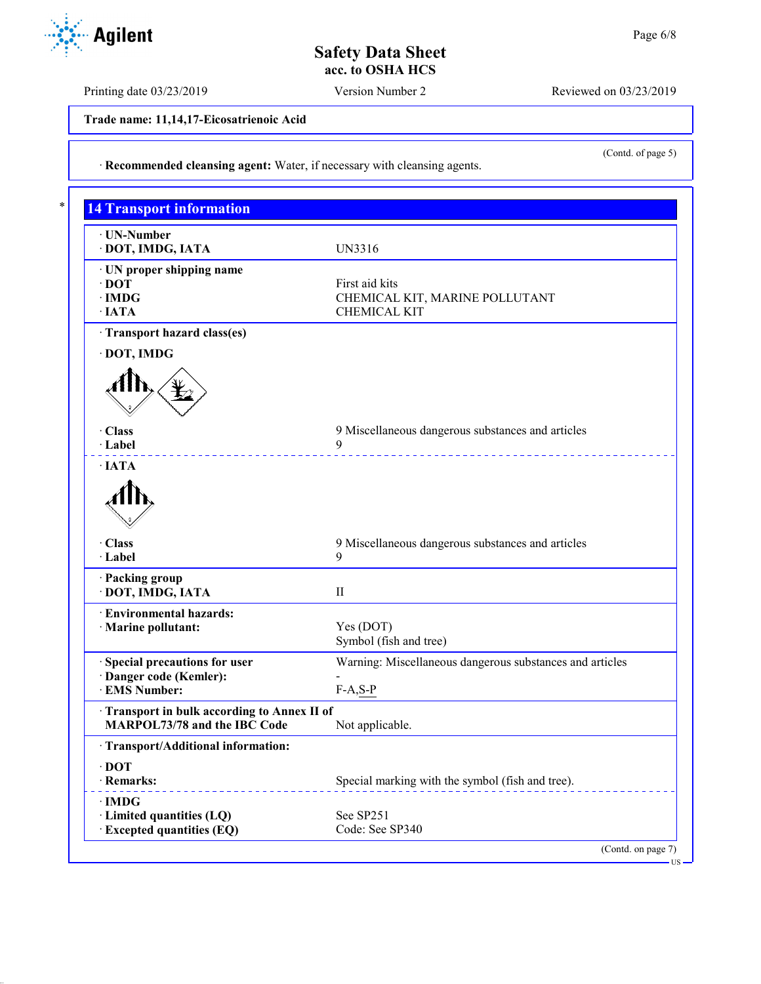Printing date 03/23/2019 Version Number 2 Reviewed on 03/23/2019

(Contd. of page 5)

US

**Trade name: 11,14,17-Eicosatrienoic Acid**

· **Recommended cleansing agent:** Water, if necessary with cleansing agents.

| · UN-Number                                                                                |                                                          |
|--------------------------------------------------------------------------------------------|----------------------------------------------------------|
| · DOT, IMDG, IATA                                                                          | UN3316                                                   |
| · UN proper shipping name                                                                  |                                                          |
| $\cdot$ DOT                                                                                | First aid kits                                           |
| $\cdot$ IMDG                                                                               | CHEMICAL KIT, MARINE POLLUTANT                           |
| $\cdot$ IATA                                                                               | <b>CHEMICAL KIT</b>                                      |
| · Transport hazard class(es)                                                               |                                                          |
| · DOT, IMDG                                                                                |                                                          |
| · Class                                                                                    | 9 Miscellaneous dangerous substances and articles        |
| · Label<br>$\cdot$ IATA                                                                    | 9                                                        |
| · Class                                                                                    | 9 Miscellaneous dangerous substances and articles        |
| · Label                                                                                    | 9                                                        |
| · Packing group<br>· DOT, IMDG, IATA                                                       | $\mathbf{I}$                                             |
| · Environmental hazards:                                                                   |                                                          |
| · Marine pollutant:                                                                        | Yes (DOT)                                                |
|                                                                                            | Symbol (fish and tree)                                   |
| · Special precautions for user                                                             | Warning: Miscellaneous dangerous substances and articles |
| · Danger code (Kemler):                                                                    |                                                          |
| · EMS Number:                                                                              | $F-A, S-P$                                               |
| · Transport in bulk according to Annex II of                                               |                                                          |
| MARPOL73/78 and the IBC Code                                                               | Not applicable.                                          |
| · Transport/Additional information:                                                        |                                                          |
| $\cdot$ DOT                                                                                |                                                          |
|                                                                                            | Special marking with the symbol (fish and tree).         |
|                                                                                            |                                                          |
|                                                                                            |                                                          |
| · Remarks:<br>$\cdot$ IMDG<br>· Limited quantities (LQ)<br><b>Excepted quantities (EQ)</b> | See SP251<br>Code: See SP340                             |



Г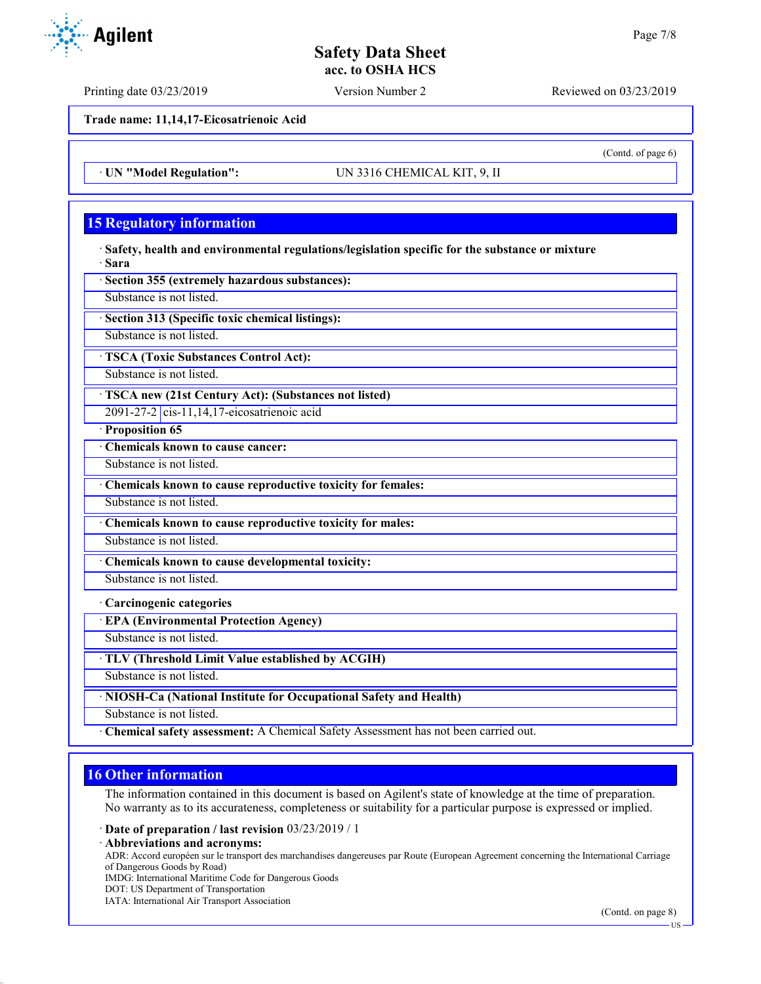Printing date 03/23/2019 Version Number 2 Reviewed on 03/23/2019

**Trade name: 11,14,17-Eicosatrienoic Acid**

· **UN "Model Regulation":** UN 3316 CHEMICAL KIT, 9, II

# **15 Regulatory information**

· **Safety, health and environmental regulations/legislation specific for the substance or mixture** · **Sara**

· **Section 355 (extremely hazardous substances):**

Substance is not listed.

· **Section 313 (Specific toxic chemical listings):**

Substance is not listed.

· **TSCA (Toxic Substances Control Act):**

Substance is not listed.

· **TSCA new (21st Century Act): (Substances not listed)**

2091-27-2 cis-11,14,17-eicosatrienoic acid

· **Proposition 65**

· **Chemicals known to cause cancer:**

Substance is not listed.

· **Chemicals known to cause reproductive toxicity for females:**

Substance is not listed.

· **Chemicals known to cause reproductive toxicity for males:**

Substance is not listed.

· **Chemicals known to cause developmental toxicity:**

Substance is not listed.

· **Carcinogenic categories**

· **EPA (Environmental Protection Agency)**

Substance is not listed.

· **TLV (Threshold Limit Value established by ACGIH)**

Substance is not listed.

· **NIOSH-Ca (National Institute for Occupational Safety and Health)**

Substance is not listed.

· **Chemical safety assessment:** A Chemical Safety Assessment has not been carried out.

## **16 Other information**

The information contained in this document is based on Agilent's state of knowledge at the time of preparation. No warranty as to its accurateness, completeness or suitability for a particular purpose is expressed or implied.

· **Date of preparation / last revision** 03/23/2019 / 1

· **Abbreviations and acronyms:**

ADR: Accord européen sur le transport des marchandises dangereuses par Route (European Agreement concerning the International Carriage of Dangerous Goods by Road)

IMDG: International Maritime Code for Dangerous Goods

DOT: US Department of Transportation

IATA: International Air Transport Association



(Contd. of page 6)